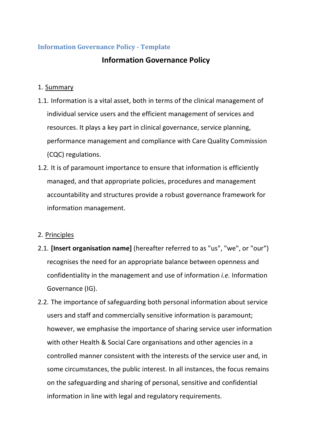## **Information Governance Policy - Template**

## **Information Governance Policy**

#### 1. Summary

- 1.1. Information is a vital asset, both in terms of the clinical management of individual service users and the efficient management of services and resources. It plays a key part in clinical governance, service planning, performance management and compliance with Care Quality Commission (CQC) regulations.
- 1.2. It is of paramount importance to ensure that information is efficiently managed, and that appropriate policies, procedures and management accountability and structures provide a robust governance framework for information management.

## 2. Principles

- 2.1. **[Insert organisation name]** (hereafter referred to as "us", "we", or "our") recognises the need for an appropriate balance between openness and confidentiality in the management and use of information *i.e.* Information Governance (IG).
- 2.2. The importance of safeguarding both personal information about service users and staff and commercially sensitive information is paramount; however, we emphasise the importance of sharing service user information with other Health & Social Care organisations and other agencies in a controlled manner consistent with the interests of the service user and, in some circumstances, the public interest. In all instances, the focus remains on the safeguarding and sharing of personal, sensitive and confidential information in line with legal and regulatory requirements.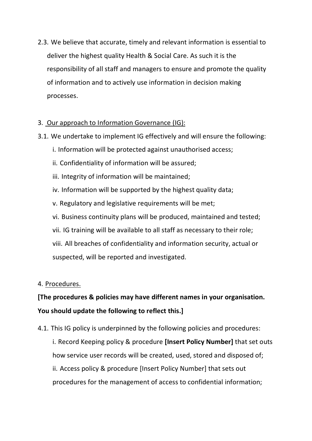2.3. We believe that accurate, timely and relevant information is essential to deliver the highest quality Health & Social Care. As such it is the responsibility of all staff and managers to ensure and promote the quality of information and to actively use information in decision making processes.

## 3. Our approach to Information Governance (IG):

- 3.1. We undertake to implement IG effectively and will ensure the following:
	- i. Information will be protected against unauthorised access;
	- ii. Confidentiality of information will be assured;
	- iii. Integrity of information will be maintained;
	- iv. Information will be supported by the highest quality data;
	- v. Regulatory and legislative requirements will be met;
	- vi. Business continuity plans will be produced, maintained and tested;
	- vii. IG training will be available to all staff as necessary to their role;
	- viii. All breaches of confidentiality and information security, actual or suspected, will be reported and investigated.

#### 4. Procedures.

# **[The procedures & policies may have different names in your organisation. You should update the following to reflect this.]**

- 4.1. This IG policy is underpinned by the following policies and procedures:
	- i. Record Keeping policy & procedure **[Insert Policy Number]** that set outs how service user records will be created, used, stored and disposed of; ii. Access policy & procedure [Insert Policy Number] that sets out procedures for the management of access to confidential information;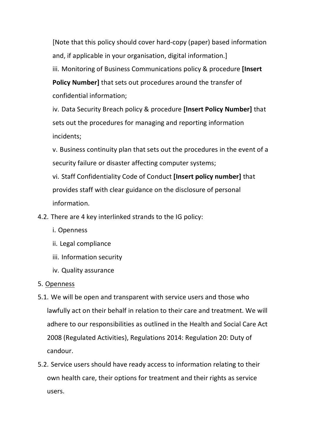[Note that this policy should cover hard-copy (paper) based information and, if applicable in your organisation, digital information.] iii. Monitoring of Business Communications policy & procedure **[Insert Policy Number]** that sets out procedures around the transfer of confidential information;

iv. Data Security Breach policy & procedure **[Insert Policy Number]** that sets out the procedures for managing and reporting information incidents;

v. Business continuity plan that sets out the procedures in the event of a security failure or disaster affecting computer systems;

vi. Staff Confidentiality Code of Conduct **[Insert policy number]** that provides staff with clear guidance on the disclosure of personal information.

4.2. There are 4 key interlinked strands to the IG policy:

- i. Openness
- ii. Legal compliance
- iii. Information security
- iv. Quality assurance

## 5. Openness

- 5.1. We will be open and transparent with service users and those who lawfully act on their behalf in relation to their care and treatment. We will adhere to our responsibilities as outlined in the Health and Social Care Act 2008 (Regulated Activities), Regulations 2014: Regulation 20: Duty of candour.
- 5.2. Service users should have ready access to information relating to their own health care, their options for treatment and their rights as service users.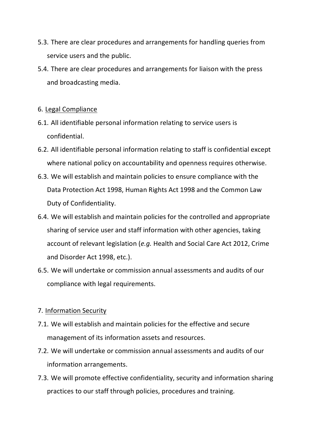- 5.3. There are clear procedures and arrangements for handling queries from service users and the public.
- 5.4. There are clear procedures and arrangements for liaison with the press and broadcasting media.

#### 6. Legal Compliance

- 6.1. All identifiable personal information relating to service users is confidential.
- 6.2. All identifiable personal information relating to staff is confidential except where national policy on accountability and openness requires otherwise.
- 6.3. We will establish and maintain policies to ensure compliance with the Data Protection Act 1998, Human Rights Act 1998 and the Common Law Duty of Confidentiality.
- 6.4. We will establish and maintain policies for the controlled and appropriate sharing of service user and staff information with other agencies, taking account of relevant legislation (*e.g.* Health and Social Care Act 2012, Crime and Disorder Act 1998, etc.).
- 6.5. We will undertake or commission annual assessments and audits of our compliance with legal requirements.

## 7. Information Security

- 7.1. We will establish and maintain policies for the effective and secure management of its information assets and resources.
- 7.2. We will undertake or commission annual assessments and audits of our information arrangements.
- 7.3. We will promote effective confidentiality, security and information sharing practices to our staff through policies, procedures and training.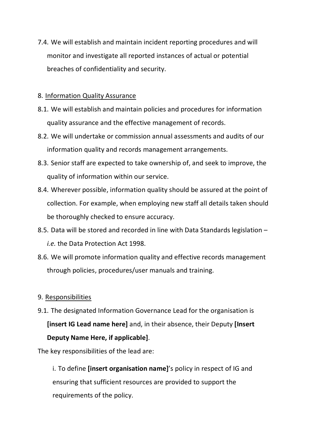7.4. We will establish and maintain incident reporting procedures and will monitor and investigate all reported instances of actual or potential breaches of confidentiality and security.

#### 8. Information Quality Assurance

- 8.1. We will establish and maintain policies and procedures for information quality assurance and the effective management of records.
- 8.2. We will undertake or commission annual assessments and audits of our information quality and records management arrangements.
- 8.3. Senior staff are expected to take ownership of, and seek to improve, the quality of information within our service.
- 8.4. Wherever possible, information quality should be assured at the point of collection. For example, when employing new staff all details taken should be thoroughly checked to ensure accuracy.
- 8.5. Data will be stored and recorded in line with Data Standards legislation *i.e.* the Data Protection Act 1998.
- 8.6. We will promote information quality and effective records management through policies, procedures/user manuals and training.

#### 9. Responsibilities

9.1. The designated Information Governance Lead for the organisation is **[insert IG Lead name here]** and, in their absence, their Deputy **[Insert Deputy Name Here, if applicable]**.

The key responsibilities of the lead are:

i. To define **[insert organisation name]**'s policy in respect of IG and ensuring that sufficient resources are provided to support the requirements of the policy.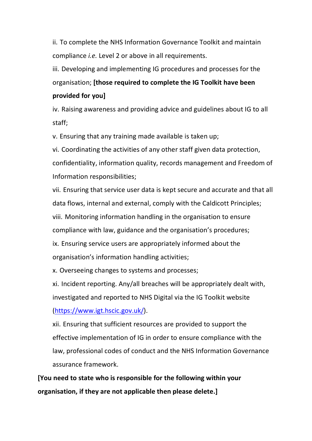ii. To complete the NHS Information Governance Toolkit and maintain compliance *i.e.* Level 2 or above in all requirements.

iii. Developing and implementing IG procedures and processes for the organisation; **[those required to complete the IG Toolkit have been provided for you]**

iv. Raising awareness and providing advice and guidelines about IG to all staff;

v. Ensuring that any training made available is taken up;

vi. Coordinating the activities of any other staff given data protection, confidentiality, information quality, records management and Freedom of Information responsibilities;

vii. Ensuring that service user data is kept secure and accurate and that all data flows, internal and external, comply with the Caldicott Principles; viii. Monitoring information handling in the organisation to ensure compliance with law, guidance and the organisation's procedures; ix. Ensuring service users are appropriately informed about the

organisation's information handling activities;

x. Overseeing changes to systems and processes;

xi. Incident reporting. Any/all breaches will be appropriately dealt with, investigated and reported to NHS Digital via the IG Toolkit website [\(https://www.igt.hscic.gov.uk/\)](https://www.igt.hscic.gov.uk/).

xii. Ensuring that sufficient resources are provided to support the effective implementation of IG in order to ensure compliance with the law, professional codes of conduct and the NHS Information Governance assurance framework.

**[You need to state who is responsible for the following within your organisation, if they are not applicable then please delete.]**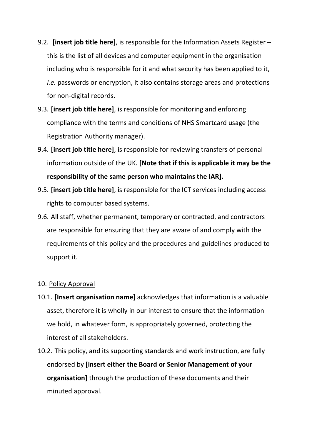- 9.2. **[insert job title here]**, is responsible for the Information Assets Register this is the list of all devices and computer equipment in the organisation including who is responsible for it and what security has been applied to it, *i.e.* passwords or encryption, it also contains storage areas and protections for non-digital records.
- 9.3. **[insert job title here]**, is responsible for monitoring and enforcing compliance with the terms and conditions of NHS Smartcard usage (the Registration Authority manager).
- 9.4. **[insert job title here]**, is responsible for reviewing transfers of personal information outside of the UK. **[Note that if this is applicable it may be the responsibility of the same person who maintains the IAR].**
- 9.5. **[insert job title here]**, is responsible for the ICT services including access rights to computer based systems.
- 9.6. All staff, whether permanent, temporary or contracted, and contractors are responsible for ensuring that they are aware of and comply with the requirements of this policy and the procedures and guidelines produced to support it.

#### 10. Policy Approval

- 10.1. **[Insert organisation name]** acknowledges that information is a valuable asset, therefore it is wholly in our interest to ensure that the information we hold, in whatever form, is appropriately governed, protecting the interest of all stakeholders.
- 10.2. This policy, and its supporting standards and work instruction, are fully endorsed by **[insert either the Board or Senior Management of your organisation]** through the production of these documents and their minuted approval.